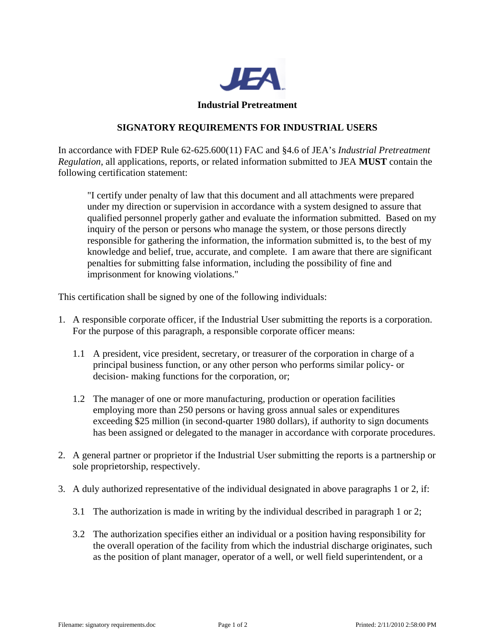

## **SIGNATORY REQUIREMENTS FOR INDUSTRIAL USERS**

In accordance with FDEP Rule 62-625.600(11) FAC and §4.6 of JEA's *Industrial Pretreatment Regulation*, all applications, reports, or related information submitted to JEA **MUST** contain the following certification statement:

"I certify under penalty of law that this document and all attachments were prepared under my direction or supervision in accordance with a system designed to assure that qualified personnel properly gather and evaluate the information submitted. Based on my inquiry of the person or persons who manage the system, or those persons directly responsible for gathering the information, the information submitted is, to the best of my knowledge and belief, true, accurate, and complete. I am aware that there are significant penalties for submitting false information, including the possibility of fine and imprisonment for knowing violations."

This certification shall be signed by one of the following individuals:

- 1. A responsible corporate officer, if the Industrial User submitting the reports is a corporation. For the purpose of this paragraph, a responsible corporate officer means:
	- 1.1 A president, vice president, secretary, or treasurer of the corporation in charge of a principal business function, or any other person who performs similar policy- or decision- making functions for the corporation, or;
	- 1.2 The manager of one or more manufacturing, production or operation facilities employing more than 250 persons or having gross annual sales or expenditures exceeding \$25 million (in second-quarter 1980 dollars), if authority to sign documents has been assigned or delegated to the manager in accordance with corporate procedures.
- 2. A general partner or proprietor if the Industrial User submitting the reports is a partnership or sole proprietorship, respectively.
- 3. A duly authorized representative of the individual designated in above paragraphs 1 or 2, if:
	- 3.1 The authorization is made in writing by the individual described in paragraph 1 or 2;
	- 3.2 The authorization specifies either an individual or a position having responsibility for the overall operation of the facility from which the industrial discharge originates, such as the position of plant manager, operator of a well, or well field superintendent, or a